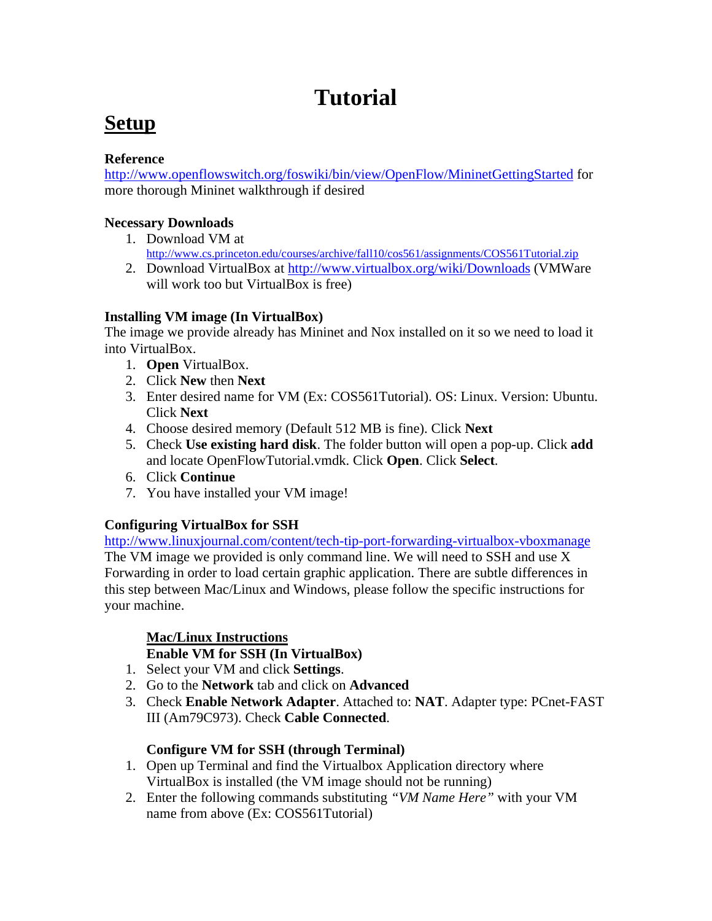# **Tutorial**

# **Setup**

### **Reference**

http://www.openflowswitch.org/foswiki/bin/view/OpenFlow/MininetGettingStarted for more thorough Mininet walkthrough if desired

### **Necessary Downloads**

- 1. Download VM at http://www.cs.princeton.edu/courses/archive/fall10/cos561/assignments/COS561Tutorial.zip
- 2. Download VirtualBox at http://www.virtualbox.org/wiki/Downloads (VMWare will work too but VirtualBox is free)

# **Installing VM image (In VirtualBox)**

The image we provide already has Mininet and Nox installed on it so we need to load it into VirtualBox.

- 1. **Open** VirtualBox.
- 2. Click **New** then **Next**
- 3. Enter desired name for VM (Ex: COS561Tutorial). OS: Linux. Version: Ubuntu. Click **Next**
- 4. Choose desired memory (Default 512 MB is fine). Click **Next**
- 5. Check **Use existing hard disk**. The folder button will open a pop-up. Click **add** and locate OpenFlowTutorial.vmdk. Click **Open**. Click **Select**.
- 6. Click **Continue**
- 7. You have installed your VM image!

# **Configuring VirtualBox for SSH**

http://www.linuxjournal.com/content/tech-tip-port-forwarding-virtualbox-vboxmanage The VM image we provided is only command line. We will need to SSH and use X Forwarding in order to load certain graphic application. There are subtle differences in this step between Mac/Linux and Windows, please follow the specific instructions for your machine.

# **Mac/Linux Instructions**

# **Enable VM for SSH (In VirtualBox)**

- 1. Select your VM and click **Settings**.
- 2. Go to the **Network** tab and click on **Advanced**
- 3. Check **Enable Network Adapter**. Attached to: **NAT**. Adapter type: PCnet-FAST III (Am79C973). Check **Cable Connected**.

# **Configure VM for SSH (through Terminal)**

- 1. Open up Terminal and find the Virtualbox Application directory where VirtualBox is installed (the VM image should not be running)
- 2. Enter the following commands substituting *"VM Name Here"* with your VM name from above (Ex: COS561Tutorial)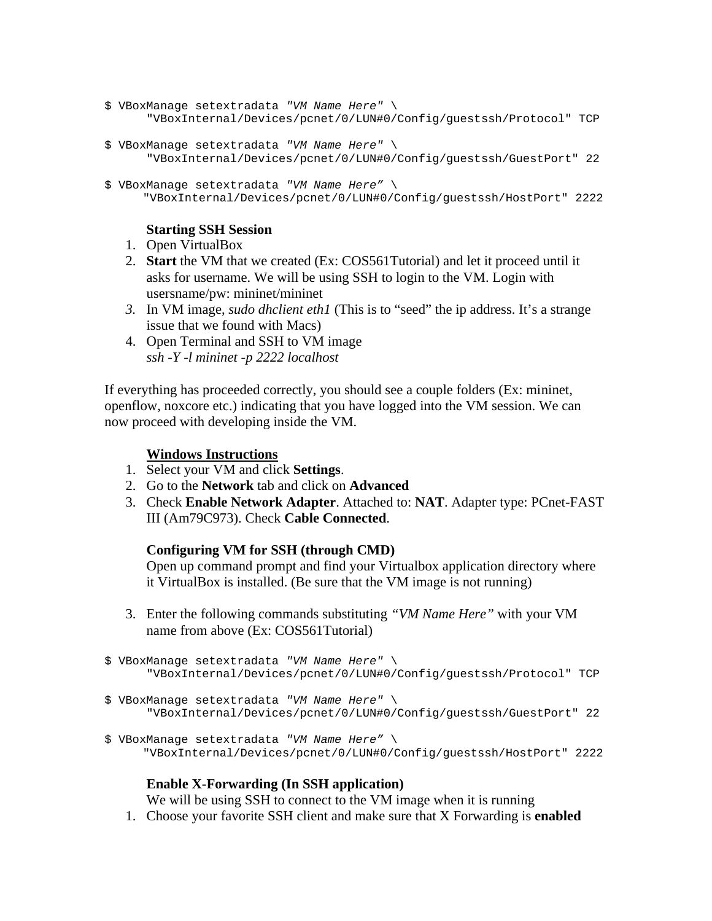```
$ VBoxManage setextradata "VM Name Here" \
       "VBoxInternal/Devices/pcnet/0/LUN#0/Config/guestssh/Protocol" TCP
```

```
$ VBoxManage setextradata "VM Name Here" \
       "VBoxInternal/Devices/pcnet/0/LUN#0/Config/guestssh/GuestPort" 22
```

```
$ VBoxManage setextradata "VM Name Here" \
      "VBoxInternal/Devices/pcnet/0/LUN#0/Config/guestssh/HostPort" 2222
```
### **Starting SSH Session**

- 1. Open VirtualBox
- 2. **Start** the VM that we created (Ex: COS561Tutorial) and let it proceed until it asks for username. We will be using SSH to login to the VM. Login with usersname/pw: mininet/mininet
- *3.* In VM image, *sudo dhclient eth1* (This is to "seed" the ip address. It's a strange issue that we found with Macs)
- 4. Open Terminal and SSH to VM image *ssh -Y -l mininet -p 2222 localhost*

If everything has proceeded correctly, you should see a couple folders (Ex: mininet, openflow, noxcore etc.) indicating that you have logged into the VM session. We can now proceed with developing inside the VM.

### **Windows Instructions**

- 1. Select your VM and click **Settings**.
- 2. Go to the **Network** tab and click on **Advanced**
- 3. Check **Enable Network Adapter**. Attached to: **NAT**. Adapter type: PCnet-FAST III (Am79C973). Check **Cable Connected**.

### **Configuring VM for SSH (through CMD)**

Open up command prompt and find your Virtualbox application directory where it VirtualBox is installed. (Be sure that the VM image is not running)

3. Enter the following commands substituting *"VM Name Here"* with your VM name from above (Ex: COS561Tutorial)

```
$ VBoxManage setextradata "VM Name Here" \
       "VBoxInternal/Devices/pcnet/0/LUN#0/Config/guestssh/Protocol" TCP
```

```
$ VBoxManage setextradata "VM Name Here" \
       "VBoxInternal/Devices/pcnet/0/LUN#0/Config/guestssh/GuestPort" 22
```
\$ VBoxManage setextradata *"VM Name Here"* \ "VBoxInternal/Devices/pcnet/0/LUN#0/Config/guestssh/HostPort" 2222

### **Enable X-Forwarding (In SSH application)**

We will be using SSH to connect to the VM image when it is running

1. Choose your favorite SSH client and make sure that X Forwarding is **enabled**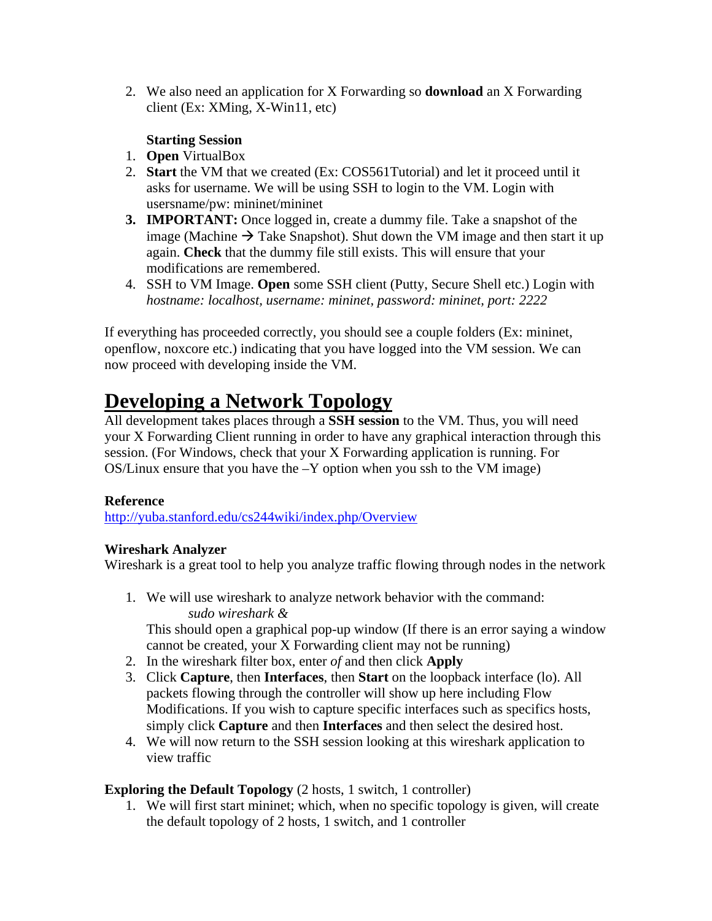2. We also need an application for X Forwarding so **download** an X Forwarding client (Ex: XMing, X-Win11, etc)

### **Starting Session**

- 1. **Open** VirtualBox
- 2. **Start** the VM that we created (Ex: COS561Tutorial) and let it proceed until it asks for username. We will be using SSH to login to the VM. Login with usersname/pw: mininet/mininet
- **3. IMPORTANT:** Once logged in, create a dummy file. Take a snapshot of the image (Machine  $\rightarrow$  Take Snapshot). Shut down the VM image and then start it up again. **Check** that the dummy file still exists. This will ensure that your modifications are remembered.
- 4. SSH to VM Image. **Open** some SSH client (Putty, Secure Shell etc.) Login with *hostname: localhost, username: mininet, password: mininet, port: 2222*

If everything has proceeded correctly, you should see a couple folders (Ex: mininet, openflow, noxcore etc.) indicating that you have logged into the VM session. We can now proceed with developing inside the VM.

# **Developing a Network Topology**

All development takes places through a **SSH session** to the VM. Thus, you will need your X Forwarding Client running in order to have any graphical interaction through this session. (For Windows, check that your X Forwarding application is running. For  $OS/L$ inux ensure that you have the  $-Y$  option when you ssh to the VM image)

# **Reference**

http://yuba.stanford.edu/cs244wiki/index.php/Overview

# **Wireshark Analyzer**

Wireshark is a great tool to help you analyze traffic flowing through nodes in the network

1. We will use wireshark to analyze network behavior with the command: *sudo wireshark &*

This should open a graphical pop-up window (If there is an error saying a window cannot be created, your X Forwarding client may not be running)

- 2. In the wireshark filter box, enter *of* and then click **Apply**
- 3. Click **Capture**, then **Interfaces**, then **Start** on the loopback interface (lo). All packets flowing through the controller will show up here including Flow Modifications. If you wish to capture specific interfaces such as specifics hosts, simply click **Capture** and then **Interfaces** and then select the desired host.
- 4. We will now return to the SSH session looking at this wireshark application to view traffic

# **Exploring the Default Topology** (2 hosts, 1 switch, 1 controller)

1. We will first start mininet; which, when no specific topology is given, will create the default topology of 2 hosts, 1 switch, and 1 controller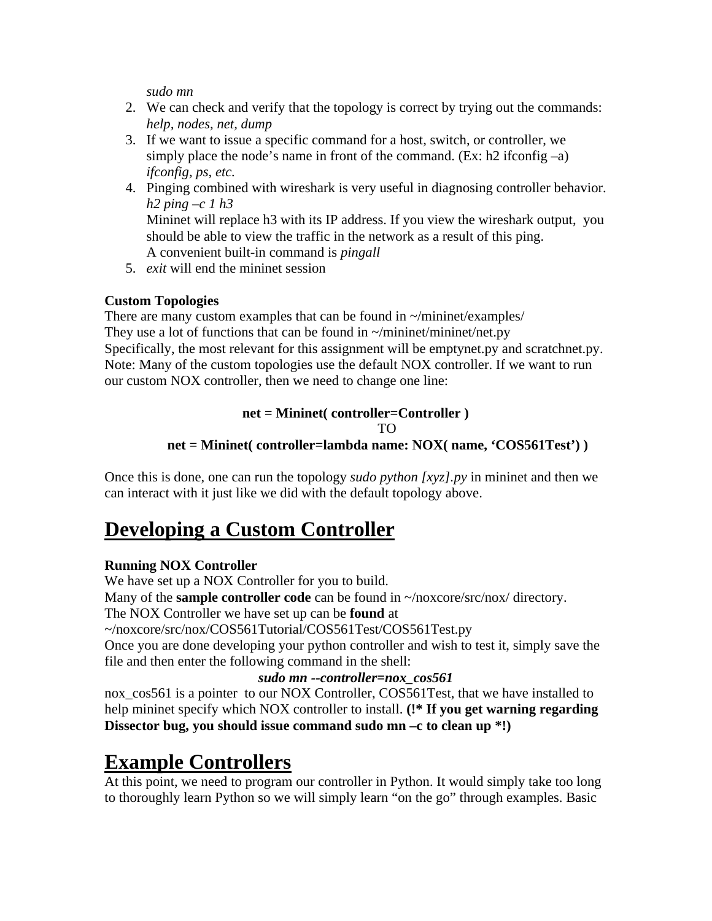*sudo mn*

- 2. We can check and verify that the topology is correct by trying out the commands: *help, nodes, net, dump*
- 3. If we want to issue a specific command for a host, switch, or controller, we simply place the node's name in front of the command. (Ex:  $h2$  ifconfig –a) *ifconfig, ps, etc.*
- 4. Pinging combined with wireshark is very useful in diagnosing controller behavior. *h2 ping –c 1 h3* Mininet will replace h3 with its IP address. If you view the wireshark output, you should be able to view the traffic in the network as a result of this ping. A convenient built-in command is *pingall*
- 5. *exit* will end the mininet session

# **Custom Topologies**

There are many custom examples that can be found in  $\sim$ /mininet/examples/ They use a lot of functions that can be found in  $\sim$ /mininet/mininet/net.py Specifically, the most relevant for this assignment will be emptynet.py and scratchnet.py. Note: Many of the custom topologies use the default NOX controller. If we want to run our custom NOX controller, then we need to change one line:

### **net = Mininet( controller=Controller )**

TO

# **net = Mininet( controller=lambda name: NOX( name, 'COS561Test') )**

Once this is done, one can run the topology *sudo python [xyz].py* in mininet and then we can interact with it just like we did with the default topology above.

# **Developing a Custom Controller**

# **Running NOX Controller**

We have set up a NOX Controller for you to build. Many of the **sample controller code** can be found in  $\sim$ /noxcore/src/nox/ directory. The NOX Controller we have set up can be **found** at ~/noxcore/src/nox/COS561Tutorial/COS561Test/COS561Test.py Once you are done developing your python controller and wish to test it, simply save the file and then enter the following command in the shell:

### *sudo mn --controller=nox\_cos561*

nox cos561 is a pointer to our NOX Controller, COS561Test, that we have installed to help mininet specify which NOX controller to install. **(!\* If you get warning regarding Dissector bug, you should issue command sudo mn –c to clean up \*!)**

# **Example Controllers**

At this point, we need to program our controller in Python. It would simply take too long to thoroughly learn Python so we will simply learn "on the go" through examples. Basic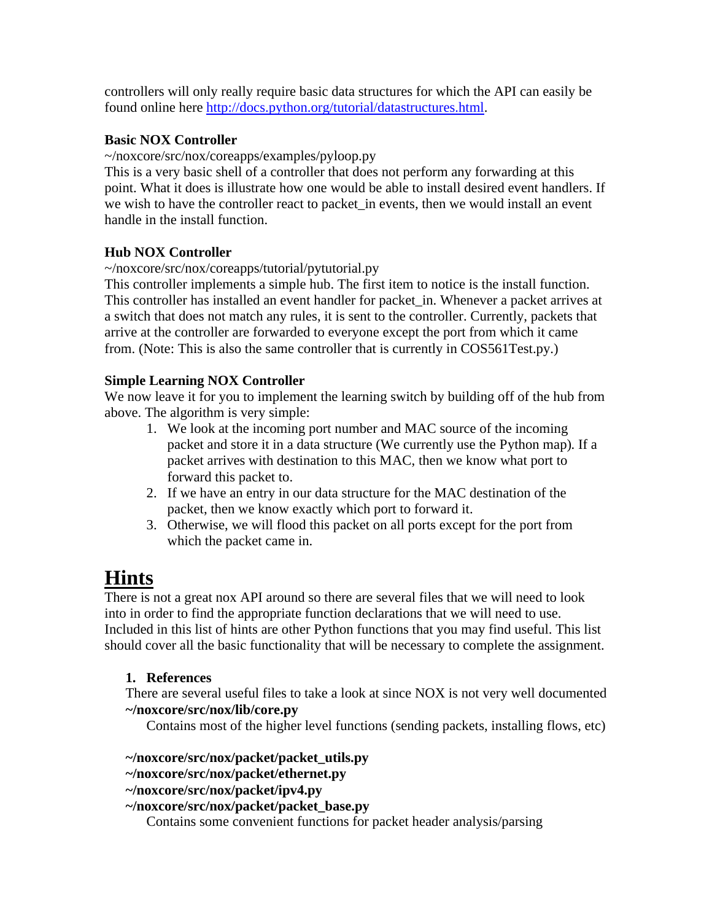controllers will only really require basic data structures for which the API can easily be found online here http://docs.python.org/tutorial/datastructures.html.

### **Basic NOX Controller**

~/noxcore/src/nox/coreapps/examples/pyloop.py

This is a very basic shell of a controller that does not perform any forwarding at this point. What it does is illustrate how one would be able to install desired event handlers. If we wish to have the controller react to packet\_in events, then we would install an event handle in the install function.

### **Hub NOX Controller**

~/noxcore/src/nox/coreapps/tutorial/pytutorial.py

This controller implements a simple hub. The first item to notice is the install function. This controller has installed an event handler for packet\_in. Whenever a packet arrives at a switch that does not match any rules, it is sent to the controller. Currently, packets that arrive at the controller are forwarded to everyone except the port from which it came from. (Note: This is also the same controller that is currently in COS561Test.py.)

### **Simple Learning NOX Controller**

We now leave it for you to implement the learning switch by building off of the hub from above. The algorithm is very simple:

- 1. We look at the incoming port number and MAC source of the incoming packet and store it in a data structure (We currently use the Python map). If a packet arrives with destination to this MAC, then we know what port to forward this packet to.
- 2. If we have an entry in our data structure for the MAC destination of the packet, then we know exactly which port to forward it.
- 3. Otherwise, we will flood this packet on all ports except for the port from which the packet came in.

# **Hints**

There is not a great nox API around so there are several files that we will need to look into in order to find the appropriate function declarations that we will need to use. Included in this list of hints are other Python functions that you may find useful. This list should cover all the basic functionality that will be necessary to complete the assignment.

### **1. References**

There are several useful files to take a look at since NOX is not very well documented **~/noxcore/src/nox/lib/core.py**

Contains most of the higher level functions (sending packets, installing flows, etc)

### **~/noxcore/src/nox/packet/packet\_utils.py**

- **~/noxcore/src/nox/packet/ethernet.py**
- **~/noxcore/src/nox/packet/ipv4.py**
- **~/noxcore/src/nox/packet/packet\_base.py**

Contains some convenient functions for packet header analysis/parsing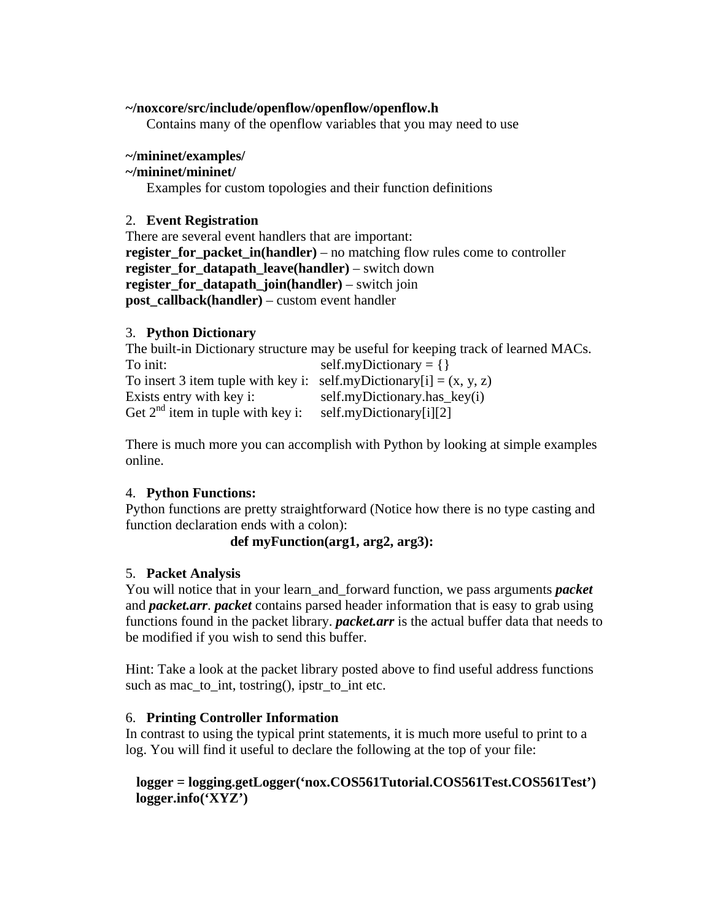### **~/noxcore/src/include/openflow/openflow/openflow.h**

Contains many of the openflow variables that you may need to use

### **~/mininet/examples/**

### **~/mininet/mininet/**

Examples for custom topologies and their function definitions

#### 2. **Event Registration**

There are several event handlers that are important: **register for packet in(handler)** – no matching flow rules come to controller **register\_for\_datapath\_leave(handler)** – switch down **register\_for\_datapath\_join(handler)** – switch join **post\_callback(handler)** – custom event handler

### 3. **Python Dictionary**

The built-in Dictionary structure may be useful for keeping track of learned MACs. To init:  $self.myDictionary = \{\}$ To insert 3 item tuple with key i: self.myDictionary[i] =  $(x, y, z)$ Exists entry with key i: self.myDictionary.has\_key(i) Get  $2<sup>nd</sup>$  item in tuple with key i: self.myDictionary[i][2]

There is much more you can accomplish with Python by looking at simple examples online.

### 4. **Python Functions:**

Python functions are pretty straightforward (Notice how there is no type casting and function declaration ends with a colon):

### **def myFunction(arg1, arg2, arg3):**

### 5. **Packet Analysis**

You will notice that in your learn and forward function, we pass arguments *packet* and *packet.arr*. *packet* contains parsed header information that is easy to grab using functions found in the packet library. *packet.arr* is the actual buffer data that needs to be modified if you wish to send this buffer.

Hint: Take a look at the packet library posted above to find useful address functions such as mac to int, tostring $($ ), ipstr to int etc.

### 6. **Printing Controller Information**

In contrast to using the typical print statements, it is much more useful to print to a log. You will find it useful to declare the following at the top of your file:

### **logger = logging.getLogger('nox.COS561Tutorial.COS561Test.COS561Test') logger.info('XYZ')**